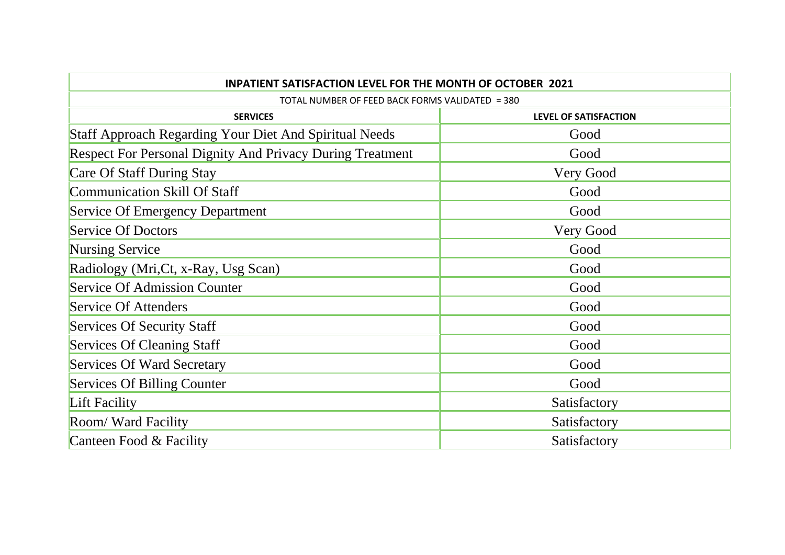| <b>INPATIENT SATISFACTION LEVEL FOR THE MONTH OF OCTOBER 2021</b> |                              |
|-------------------------------------------------------------------|------------------------------|
| TOTAL NUMBER OF FEED BACK FORMS VALIDATED = 380                   |                              |
| <b>SERVICES</b>                                                   | <b>LEVEL OF SATISFACTION</b> |
| Staff Approach Regarding Your Diet And Spiritual Needs            | Good                         |
| <b>Respect For Personal Dignity And Privacy During Treatment</b>  | Good                         |
| Care Of Staff During Stay                                         | Very Good                    |
| <b>Communication Skill Of Staff</b>                               | Good                         |
| <b>Service Of Emergency Department</b>                            | Good                         |
| <b>Service Of Doctors</b>                                         | Very Good                    |
| Nursing Service                                                   | Good                         |
| Radiology (Mri, Ct, x-Ray, Usg Scan)                              | Good                         |
| <b>Service Of Admission Counter</b>                               | Good                         |
| Service Of Attenders                                              | Good                         |
| Services Of Security Staff                                        | Good                         |
| Services Of Cleaning Staff                                        | Good                         |
| <b>Services Of Ward Secretary</b>                                 | Good                         |
| <b>Services Of Billing Counter</b>                                | Good                         |
| Lift Facility                                                     | Satisfactory                 |
| Room/Ward Facility                                                | Satisfactory                 |
| Canteen Food & Facility                                           | Satisfactory                 |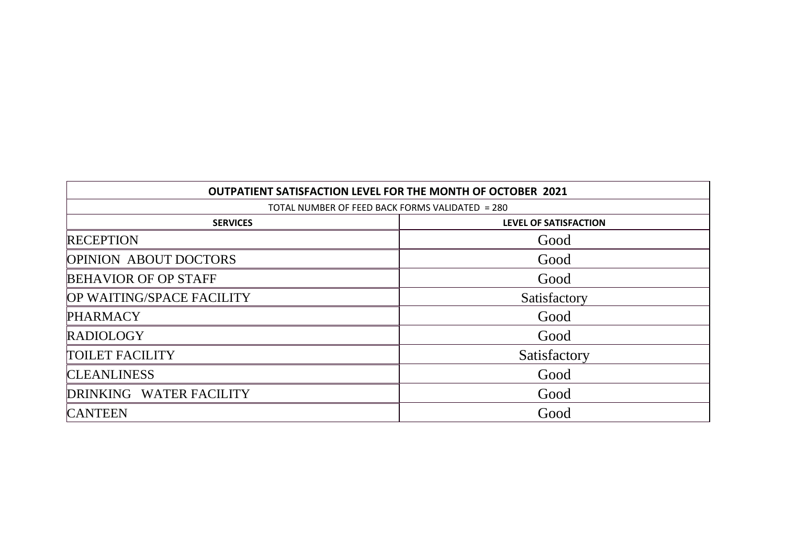| OUTPATIENT SATISFACTION LEVEL FOR THE MONTH OF OCTOBER 2021<br>TOTAL NUMBER OF FEED BACK FORMS VALIDATED = 280 |              |  |
|----------------------------------------------------------------------------------------------------------------|--------------|--|
|                                                                                                                |              |  |
| <b>RECEPTION</b>                                                                                               | Good         |  |
| <b>OPINION ABOUT DOCTORS</b>                                                                                   | Good         |  |
| <b>BEHAVIOR OF OP STAFF</b>                                                                                    | Good         |  |
| OP WAITING/SPACE FACILITY                                                                                      | Satisfactory |  |
| <b>PHARMACY</b>                                                                                                | Good         |  |
| <b>RADIOLOGY</b>                                                                                               | Good         |  |
| <b>TOILET FACILITY</b>                                                                                         | Satisfactory |  |
| <b>CLEANLINESS</b>                                                                                             | Good         |  |
| DRINKING WATER FACILITY                                                                                        | Good         |  |
| <b>CANTEEN</b>                                                                                                 | Good         |  |